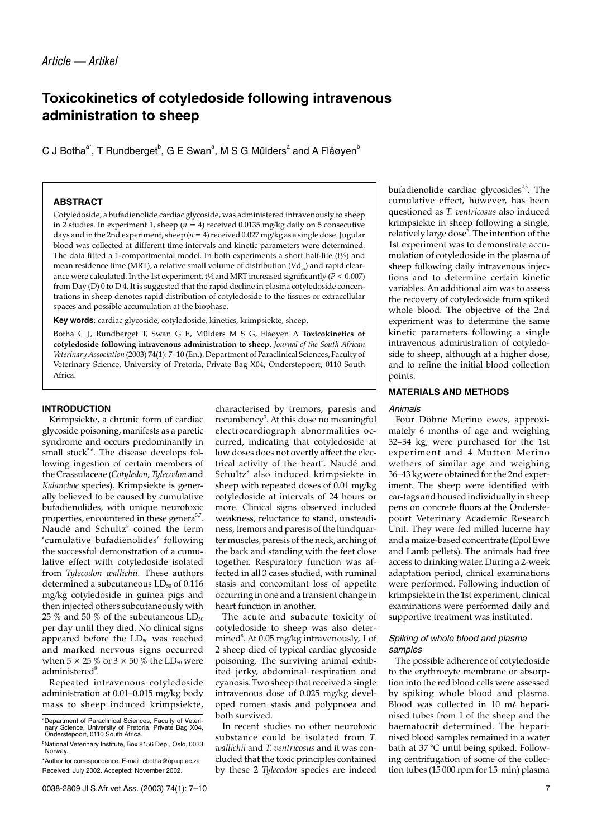# **Toxicokinetics of cotyledoside following intravenous administration to sheep**

C J Botha $^{\rm a^*}$ , T Rundberget $^{\rm b}$ , G E Swan $^{\rm a}$ , M S G Mülders $^{\rm a}$  and A Flåøyen $^{\rm b}$ 

# **ABSTRACT**

Cotyledoside, a bufadienolide cardiac glycoside, was administered intravenously to sheep in 2 studies. In experiment 1, sheep ( $n = 4$ ) received 0.0135 mg/kg daily on 5 consecutive days and in the 2nd experiment, sheep (*n* = 4) received 0.027 mg/kg as a single dose. Jugular blood was collected at different time intervals and kinetic parameters were determined. The data fitted a 1-compartmental model. In both experiments a short half-life (t½) and mean residence time (MRT), a relative small volume of distribution  $(Vd_{\infty})$  and rapid clearance were calculated. In the 1st experiment, t½ and MRT increased significantly (*P* < 0.007) from Day (D) 0 to D 4. It is suggested that the rapid decline in plasma cotyledoside concentrations in sheep denotes rapid distribution of cotyledoside to the tissues or extracellular spaces and possible accumulation at the biophase.

**Key words**: cardiac glycoside, cotyledoside, kinetics, krimpsiekte, sheep.

Botha C J, Rundberget T, Swan G E, Mülders M S G, Flåøyen A **Toxicokinetics of cotyledoside following intravenous administration to sheep**. *Journal of the South African Veterinary Association* (2003) 74(1): 7–10 (En.). Department of Paraclinical Sciences, Faculty of Veterinary Science, University of Pretoria, Private Bag X04, Onderstepoort, 0110 South Africa.

## **INTRODUCTION**

Krimpsiekte, a chronic form of cardiac glycoside poisoning, manifests as a paretic syndrome and occurs predominantly in small stock $5.6$ . The disease develops following ingestion of certain members of the Crassulaceae (*Cotyledon, Tylecodon* and *Kalanchoe* species). Krimpsiekte is generally believed to be caused by cumulative bufadienolides, with unique neurotoxic properties, encountered in these genera<sup>5,7</sup>. Naudé and Schultz $^8$  coined the term 'cumulative bufadienolides' following the successful demonstration of a cumulative effect with cotyledoside isolated from *Tylecodon wallichii.* These authors determined a subcutaneous  $LD<sub>50</sub>$  of 0.116 mg/kg cotyledoside in guinea pigs and then injected others subcutaneously with 25 % and 50 % of the subcutaneous  $LD_{50}$ per day until they died. No clinical signs appeared before the  $LD_{50}$  was reached and marked nervous signs occurred when  $5 \times 25\%$  or  $3 \times 50\%$  the LD<sub>50</sub> were  $administered<sup>8</sup>$ .

Repeated intravenous cotyledoside administration at 0.01–0.015 mg/kg body mass to sheep induced krimpsiekte, characterised by tremors, paresis and recumbency<sup>3</sup>. At this dose no meaningful electrocardiograph abnormalities occurred, indicating that cotyledoside at low doses does not overtly affect the electrical activity of the heart<sup>3</sup>. Naudé and Schultz<sup>8</sup> also induced krimpsiekte in sheep with repeated doses of 0.01 mg/kg cotyledoside at intervals of 24 hours or more. Clinical signs observed included weakness, reluctance to stand, unsteadiness, tremors and paresis of the hindquarter muscles, paresis of the neck, arching of the back and standing with the feet close together. Respiratory function was affected in all 3 cases studied, with ruminal stasis and concomitant loss of appetite occurring in one and a transient change in heart function in another.

The acute and subacute toxicity of cotyledoside to sheep was also determined $^{\rm 8}$ . At 0.05 mg/kg intravenously, 1 of 2 sheep died of typical cardiac glycoside poisoning. The surviving animal exhibited jerky, abdominal respiration and cyanosis. Two sheep that received a single intravenous dose of 0.025 mg/kg developed rumen stasis and polypnoea and both survived.

In recent studies no other neurotoxic substance could be isolated from *T. wallichii* and *T. ventricosus* and it was concluded that the toxic principles contained by these 2 *Tylecodon* species are indeed bufadienolide cardiac glycosides $2,3$ . The cumulative effect, however, has been questioned as *T. ventricosus* also induced krimpsiekte in sheep following a single, relatively large dose<sup>2</sup>. The intention of the 1st experiment was to demonstrate accumulation of cotyledoside in the plasma of sheep following daily intravenous injections and to determine certain kinetic variables. An additional aim was to assess the recovery of cotyledoside from spiked whole blood. The objective of the 2nd experiment was to determine the same kinetic parameters following a single intravenous administration of cotyledoside to sheep, although at a higher dose, and to refine the initial blood collection points.

## **MATERIALS AND METHODS**

#### Animals

Four Döhne Merino ewes, approximately 6 months of age and weighing 32–34 kg, were purchased for the 1st experiment and 4 Mutton Merino wethers of similar age and weighing 36–43 kg were obtained for the 2nd experiment. The sheep were identified with ear-tags and housed individually in sheep pens on concrete floors at the Onderstepoort Veterinary Academic Research Unit. They were fed milled lucerne hay and a maize-based concentrate (Epol Ewe and Lamb pellets). The animals had free access to drinking water. During a 2-week adaptation period, clinical examinations were performed. Following induction of krimpsiekte in the 1st experiment, clinical examinations were performed daily and supportive treatment was instituted.

#### Spiking of whole blood and plasma samples

The possible adherence of cotyledoside to the erythrocyte membrane or absorption into the red blood cells were assessed by spiking whole blood and plasma. Blood was collected in 10  $m\ell$  heparinised tubes from 1 of the sheep and the haematocrit determined. The heparinised blood samples remained in a water bath at 37 °C until being spiked. Following centrifugation of some of the collection tubes (15 000 rpm for 15 min) plasma

a Department of Paraclinical Sciences, Faculty of Veteri-nary Science, University of Pretoria, Private Bag X04, Onderstepoort, 0110 South Africa.

<sup>&</sup>lt;sup>b</sup>National Veterinary Institute, Box 8156 Dep., Oslo, 0033 Norway. \*Author for correspondence. E-mail: cbotha@op.up.ac.za

Received: July 2002. Accepted: November 2002.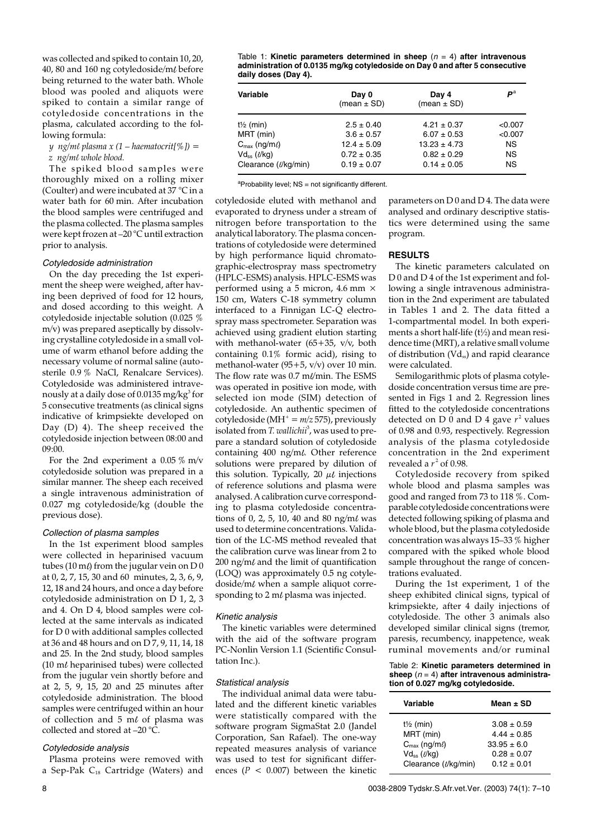was collected and spiked to contain 10, 20, 40, 80 and 160 ng cotyledoside/ml before being returned to the water bath. Whole blood was pooled and aliquots were spiked to contain a similar range of cotyledoside concentrations in the plasma, calculated according to the following formula:

## *y ng/ml plasma x (1 – haematocrit[%]) = z ng/ml whole blood.*

The spiked blood samples were thoroughly mixed on a rolling mixer (Coulter) and were incubated at 37 °C in a water bath for 60 min. After incubation the blood samples were centrifuged and the plasma collected. The plasma samples were kept frozen at –20 °C until extraction prior to analysis.

#### Cotyledoside administration

On the day preceding the 1st experiment the sheep were weighed, after having been deprived of food for 12 hours, and dosed according to this weight. A cotyledoside injectable solution (0.025 % m/v) was prepared aseptically by dissolving crystalline cotyledoside in a small volume of warm ethanol before adding the necessary volume of normal saline (autosterile 0.9 % NaCl, Renalcare Services). Cotyledoside was administered intravenously at a daily dose of 0.0135 mg/kg $^3$  for 5 consecutive treatments (as clinical signs indicative of krimpsiekte developed on Day (D) 4). The sheep received the cotyledoside injection between 08:00 and 09:00.

For the 2nd experiment a  $0.05\%$  m/v cotyledoside solution was prepared in a similar manner. The sheep each received a single intravenous administration of 0.027 mg cotyledoside/kg (double the previous dose).

#### Collection of plasma samples

In the 1st experiment blood samples were collected in heparinised vacuum tubes (10 m $\ell$ ) from the jugular vein on D 0 at 0, 2, 7, 15, 30 and 60 minutes, 2, 3, 6, 9, 12, 18 and 24 hours, and once a day before cotyledoside administration on D 1, 2, 3 and 4. On D 4, blood samples were collected at the same intervals as indicated for D 0 with additional samples collected at 36 and 48 hours and on D 7, 9, 11, 14, 18 and 25. In the 2nd study, blood samples  $(10 \text{ m}l \text{ heparinised tubes})$  were collected from the jugular vein shortly before and at 2, 5, 9, 15, 20 and 25 minutes after cotyledoside administration. The blood samples were centrifuged within an hour of collection and  $5 \text{ m}$  of plasma was collected and stored at –20 °C.

#### Cotyledoside analysis

Plasma proteins were removed with a Sep-Pak  $C_{18}$  Cartridge (Waters) and

Table 1: **Kinetic parameters determined in sheep** (<sup>n</sup> = 4) **after intravenous administration of 0.0135 mg/kg cotyledoside on Day 0 and after 5 consecutive daily doses (Day 4).**

| Variable                        | Day 0<br>(mean $\pm$ SD) | Day 4<br>(mean $\pm$ SD) | $\bm{P}^{\rm a}$ |
|---------------------------------|--------------------------|--------------------------|------------------|
| $t\frac{1}{2}$ (min)            | $2.5 \pm 0.40$           | $4.21 \pm 0.37$          | < 0.007          |
| MRT (min)                       | $3.6 \pm 0.57$           | $6.07 \pm 0.53$          | < 0.007          |
| $C_{\text{max}}$ (ng/m $\ell$ ) | $12.4 \pm 5.09$          | $13.23 \pm 4.73$         | <b>NS</b>        |
| $Vd_{ss}$ ( $\ell$ /kg)         | $0.72 \pm 0.35$          | $0.82 \pm 0.29$          | <b>NS</b>        |
| Clearance (l/kg/min)            | $0.19 \pm 0.07$          | $0.14 \pm 0.05$          | <b>NS</b>        |

<sup>a</sup>Probability level; NS = not significantly different.

cotyledoside eluted with methanol and evaporated to dryness under a stream of nitrogen before transportation to the analytical laboratory. The plasma concentrations of cotyledoside were determined by high performance liquid chromatographic-electrospray mass spectrometry (HPLC-ESMS) analysis. HPLC-ESMS was performed using a 5 micron, 4.6 mm × 150 cm, Waters C-18 symmetry column interfaced to a Finnigan LC-Q electrospray mass spectrometer. Separation was achieved using gradient elution starting with methanol-water (65+35, v/v, both containing 0.1% formic acid), rising to methanol-water (95+5, v/v) over 10 min. The flow rate was  $0.7$  m $\ell$ min. The ESMS was operated in positive ion mode, with selected ion mode (SIM) detection of cotyledoside. An authentic specimen of cotyledoside (MH<sup>+</sup> *= m/z* 575), previously isolated from *T. wallichii<sup>3</sup>,* was used to prepare a standard solution of cotyledoside containing  $400$  ng/m $\ell$ . Other reference solutions were prepared by dilution of this solution. Typically, 20  $\mu\ell$  injections of reference solutions and plasma were analysed. A calibration curve corresponding to plasma cotyledoside concentrations of 0, 2, 5, 10, 40 and 80 ng/m $\ell$  was used to determine concentrations. Validation of the LC-MS method revealed that the calibration curve was linear from 2 to  $200$  ng/m $\ell$  and the limit of quantification (LOQ) was approximately 0.5 ng cotyledoside/m $\ell$  when a sample aliquot corresponding to  $2 \text{ m} \ell$  plasma was injected.

#### Kinetic analysis

The kinetic variables were determined with the aid of the software program PC-Nonlin Version 1.1 (Scientific Consultation Inc.).

# Statistical analysis

The individual animal data were tabulated and the different kinetic variables were statistically compared with the software program SigmaStat 2.0 (Jandel Corporation, San Rafael). The one-way repeated measures analysis of variance was used to test for significant differences ( $P < 0.007$ ) between the kinetic parameters on D 0 and D 4. The data were analysed and ordinary descriptive statistics were determined using the same program.

#### **RESULTS**

The kinetic parameters calculated on D 0 and D 4 of the 1st experiment and following a single intravenous administration in the 2nd experiment are tabulated in Tables 1 and 2. The data fitted a 1-compartmental model. In both experiments a short half-life (t½) and mean residence time (MRT), a relative small volume of distribution (Vdss) and rapid clearance were calculated.

Semilogarithmic plots of plasma cotyledoside concentration versus time are presented in Figs 1 and 2. Regression lines fitted to the cotyledoside concentrations detected on  $D$  0 and  $D$  4 gave  $r^2$  values of 0.98 and 0.93, respectively. Regression analysis of the plasma cotyledoside concentration in the 2nd experiment revealed a  $r^2$  of 0.98.

Cotyledoside recovery from spiked whole blood and plasma samples was good and ranged from 73 to 118 %. Comparable cotyledoside concentrations were detected following spiking of plasma and whole blood, but the plasma cotyledoside concentration was always 15–33 % higher compared with the spiked whole blood sample throughout the range of concentrations evaluated.

During the 1st experiment, 1 of the sheep exhibited clinical signs, typical of krimpsiekte, after 4 daily injections of cotyledoside. The other 3 animals also developed similar clinical signs (tremor, paresis, recumbency, inappetence, weak ruminal movements and/or ruminal

#### Table 2: **Kinetic parameters determined in sheep** (<sup>n</sup> = 4) **after intravenous administration of 0.027 mg/kg cotyledoside.**

| Variable                        | Mean $\pm$ SD   |
|---------------------------------|-----------------|
| $t\frac{1}{2}$ (min)            | $3.08 \pm 0.59$ |
| MRT (min)                       | $4.44 + 0.85$   |
| $C_{\text{max}}$ (ng/m $\ell$ ) | $33.95 \pm 6.0$ |
| $Vd_{ss}$ ( $\ell$ /kg)         | $0.28 \pm 0.07$ |
| Clearance (t/kg/min)            | $0.12 + 0.01$   |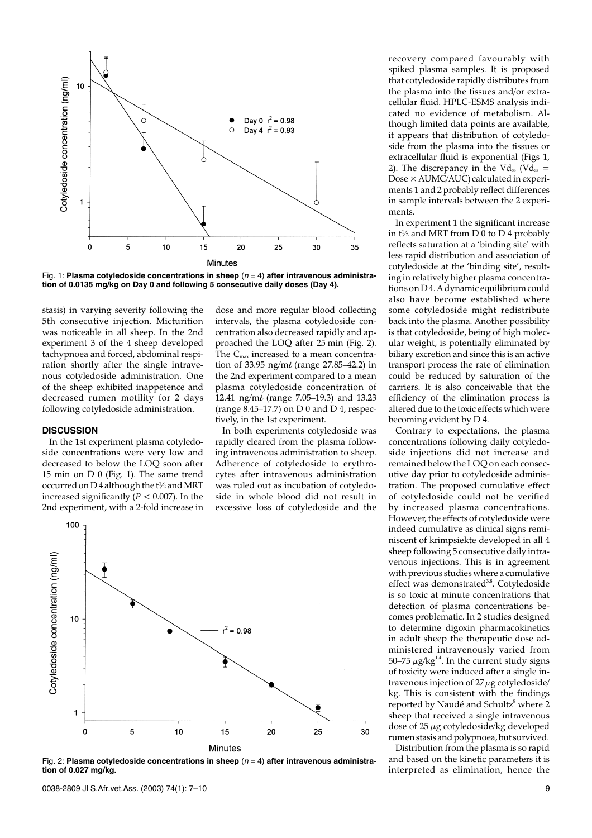

Fig. 1: **Plasma cotyledoside concentrations in sheep** ( $n = 4$ ) after intravenous administra**tion of 0.0135 mg/kg on Day 0 and following 5 consecutive daily doses (Day 4).**

stasis) in varying severity following the 5th consecutive injection. Micturition was noticeable in all sheep. In the 2nd experiment 3 of the 4 sheep developed tachypnoea and forced, abdominal respiration shortly after the single intravenous cotyledoside administration. One of the sheep exhibited inappetence and decreased rumen motility for 2 days following cotyledoside administration.

## **DISCUSSION**

In the 1st experiment plasma cotyledoside concentrations were very low and decreased to below the LOQ soon after 15 min on D 0 (Fig. 1). The same trend occurred on D 4 although the t½ and MRT increased significantly  $(P < 0.007)$ . In the 2nd experiment, with a 2-fold increase in dose and more regular blood collecting intervals, the plasma cotyledoside concentration also decreased rapidly and approached the LOQ after 25 min (Fig. 2). The  $C_{\text{max}}$  increased to a mean concentration of 33.95 ng/m $\ell$  (range 27.85–42.2) in the 2nd experiment compared to a mean plasma cotyledoside concentration of 12.41 ng/ml (range 7.05–19.3) and 13.23 (range  $8.45-17.7$ ) on D 0 and D 4, respectively, in the 1st experiment.

In both experiments cotyledoside was rapidly cleared from the plasma following intravenous administration to sheep. Adherence of cotyledoside to erythrocytes after intravenous administration was ruled out as incubation of cotyledoside in whole blood did not result in excessive loss of cotyledoside and the



Fig. 2: Plasma cotyledoside concentrations in sheep ( $n = 4$ ) after intravenous administra**tion of 0.027 mg/kg.**

recovery compared favourably with spiked plasma samples. It is proposed that cotyledoside rapidly distributes from the plasma into the tissues and/or extracellular fluid. HPLC-ESMS analysis indicated no evidence of metabolism. Although limited data points are available, it appears that distribution of cotyledoside from the plasma into the tissues or extracellular fluid is exponential (Figs 1, 2). The discrepancy in the Vd<sub>ss</sub> (Vd<sub>ss</sub> =  $Dose \times AUMC/AUC$ ) calculated in experiments 1 and 2 probably reflect differences in sample intervals between the 2 experiments.

In experiment 1 the significant increase in t½ and MRT from D 0 to D 4 probably reflects saturation at a 'binding site' with less rapid distribution and association of cotyledoside at the 'binding site', resulting in relatively higher plasma concentrations on D 4. A dynamic equilibrium could also have become established where some cotyledoside might redistribute back into the plasma. Another possibility is that cotyledoside, being of high molecular weight, is potentially eliminated by biliary excretion and since this is an active transport process the rate of elimination could be reduced by saturation of the carriers. It is also conceivable that the efficiency of the elimination process is altered due to the toxic effects which were becoming evident by D 4.

Contrary to expectations, the plasma concentrations following daily cotyledoside injections did not increase and remained below the LOQ on each consecutive day prior to cotyledoside administration. The proposed cumulative effect of cotyledoside could not be verified by increased plasma concentrations. However, the effects of cotyledoside were indeed cumulative as clinical signs reminiscent of krimpsiekte developed in all 4 sheep following 5 consecutive daily intravenous injections. This is in agreement with previous studies where a cumulative effect was demonstrated<sup>3,8</sup>. Cotyledoside is so toxic at minute concentrations that detection of plasma concentrations becomes problematic. In 2 studies designed to determine digoxin pharmacokinetics in adult sheep the therapeutic dose administered intravenously varied from 50–75  $\mu$ g/kg<sup>1,4</sup>. In the current study signs of toxicity were induced after a single intravenous injection of  $27 \mu$ g cotyledoside/ kg. This is consistent with the findings reported by Naudé and Schultz<sup>8</sup> where 2 sheep that received a single intravenous dose of 25 µg cotyledoside/kg developed rumen stasis and polypnoea, but survived.

Distribution from the plasma is so rapid and based on the kinetic parameters it is interpreted as elimination, hence the